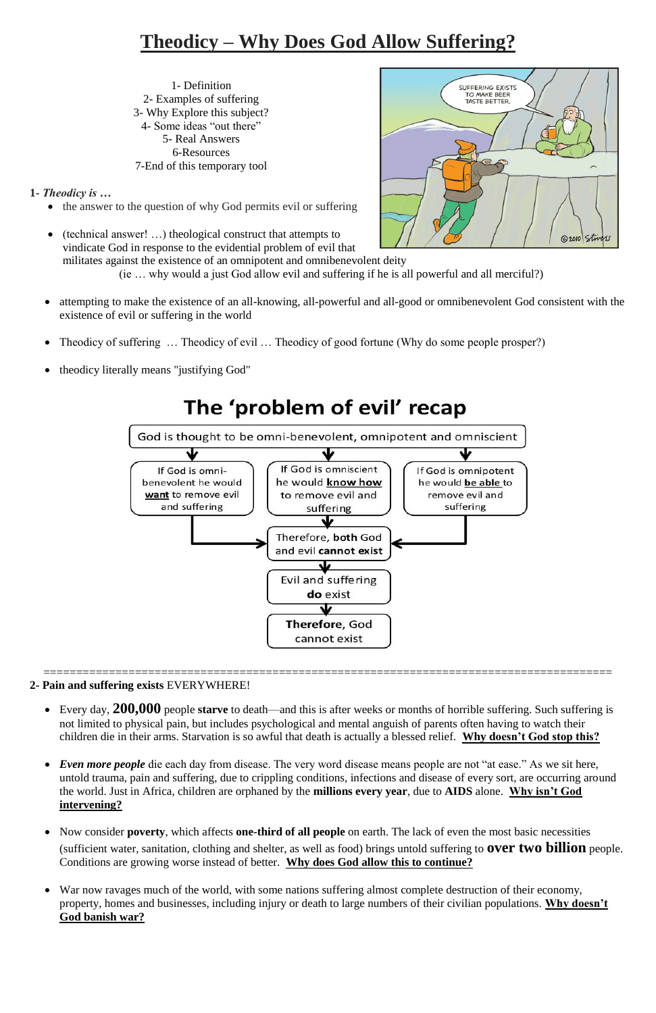## **Theodicy – Why Does God Allow Suffering?**

1- Definition 2- Examples of suffering 3- Why Explore this subject? 4- Some ideas "out there" 5- Real Answers 6-Resources 7-End of this temporary tool

**1-** *Theodicy is …* 

- attempting to make the existence of an all-knowing, all-powerful and all-good or omnibenevolent God consistent with the existence of evil or suffering in the world
- Theodicy of suffering ... Theodicy of evil ... Theodicy of good fortune (Why do some people prosper?)
- theodicy literally means "justifying God"

# The 'problem of evil' recap



- the answer to the question of why God permits evil or suffering
- (technical answer! …) theological construct that attempts to vindicate God in response to the evidential problem of evil that

militates against the existence of an omnipotent and omnibenevolent deity (ie … why would a just God allow evil and suffering if he is all powerful and all merciful?)

=======================================================================================



### **2- Pain and suffering exists** EVERYWHERE!

 Every day, **200,000** people **starve** to death—and this is after weeks or months of horrible suffering. Such suffering is not limited to physical pain, but includes psychological and mental anguish of parents often having to watch their children die in their arms. Starvation is so awful that death is actually a blessed relief. **Why doesn't God stop this?**

- *Even more people* die each day from disease. The very word disease means people are not "at ease." As we sit here, untold trauma, pain and suffering, due to crippling conditions, infections and disease of every sort, are occurring around the world. Just in Africa, children are orphaned by the **millions every year**, due to **AIDS** alone. **Why isn't God intervening?**
- Now consider **poverty**, which affects **one-third of all people** on earth. The lack of even the most basic necessities (sufficient water, sanitation, clothing and shelter, as well as food) brings untold suffering to **over two billion** people. Conditions are growing worse instead of better. **Why does God allow this to continue?**
- War now ravages much of the world, with some nations suffering almost complete destruction of their economy, property, homes and businesses, including injury or death to large numbers of their civilian populations. **Why doesn't God banish war?**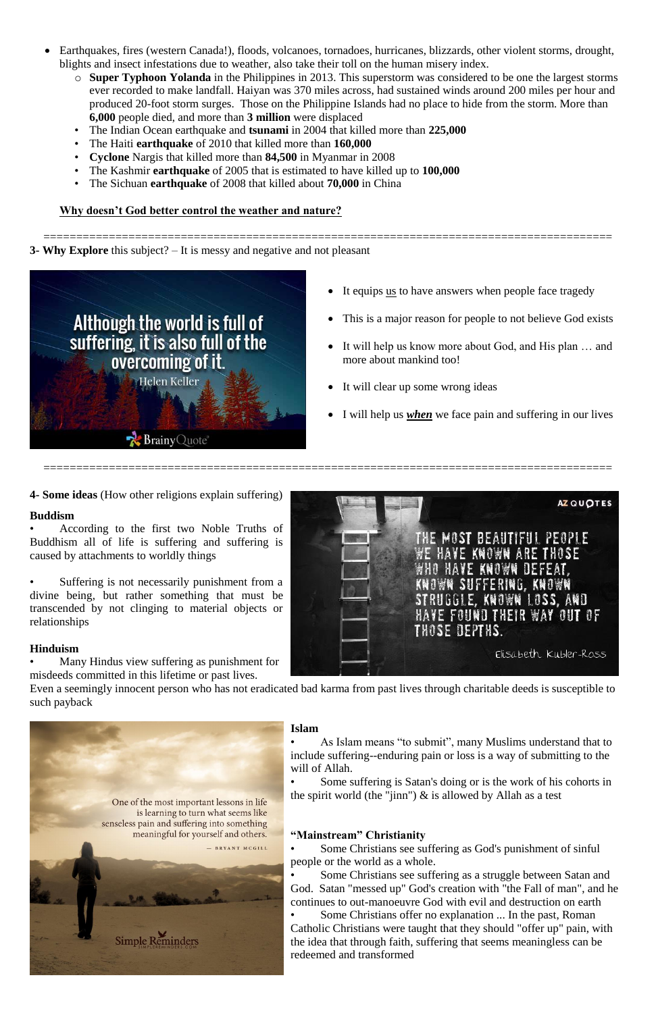- Earthquakes, fires (western Canada!), floods, volcanoes, tornadoes, hurricanes, blizzards, other violent storms, drought, blights and insect infestations due to weather, also take their toll on the human misery index.
	- o **Super Typhoon Yolanda** in the Philippines in 2013. This superstorm was considered to be one the largest storms ever recorded to make landfall. Haiyan was 370 miles across, had sustained winds around 200 miles per hour and produced 20-foot storm surges. Those on the Philippine Islands had no place to hide from the storm. More than **6,000** people died, and more than **3 million** were displaced
	- The Indian Ocean earthquake and **tsunami** in 2004 that killed more than **225,000**
	- The Haiti **earthquake** of 2010 that killed more than **160,000**
	- **Cyclone** Nargis that killed more than **84,500** in Myanmar in 2008
	- The Kashmir **earthquake** of 2005 that is estimated to have killed up to **100,000**
	- The Sichuan **earthquake** of 2008 that killed about **70,000** in China

- It equips <u>us</u> to have answers when people face tragedy
- This is a major reason for people to not believe God exists
- It will help us know more about God, and His plan … and more about mankind too!
- It will clear up some wrong ideas
- I will help us *when* we face pain and suffering in our lives

Suffering is not necessarily punishment from a divine being, but rather something that must be transcended by not clinging to material objects or relationships

#### **Why doesn't God better control the weather and nature?**

======================================================================================= **3- Why Explore** this subject? – It is messy and negative and not pleasant



- Some Christians see suffering as God's punishment of sinful people or the world as a whole.
- Some Christians see suffering as a struggle between Satan and God. Satan "messed up" God's creation with "the Fall of man", and he continues to out-manoeuvre God with evil and destruction on earth
- Some Christians offer no explanation ... In the past, Roman Catholic Christians were taught that they should "offer up" pain, with the idea that through faith, suffering that seems meaningless can be redeemed and transformed

=======================================================================================





**4- Some ideas** (How other religions explain suffering)

#### **Buddism**

• According to the first two Noble Truths of Buddhism all of life is suffering and suffering is caused by attachments to worldly things

#### **Hinduism**

• Many Hindus view suffering as punishment for misdeeds committed in this lifetime or past lives.

Even a seemingly innocent person who has not eradicated bad karma from past lives through charitable deeds is susceptible to such payback

**Islam**

• As Islam means "to submit", many Muslims understand that to

One of the most important lessons in life is learning to turn what seems like senseless pain and suffering into something meaningful for yourself and others.

- BRYANT MCGILL



include suffering--enduring pain or loss is a way of submitting to the will of Allah.

• Some suffering is Satan's doing or is the work of his cohorts in the spirit world (the "jinn")  $\&$  is allowed by Allah as a test

#### **"Mainstream" Christianity**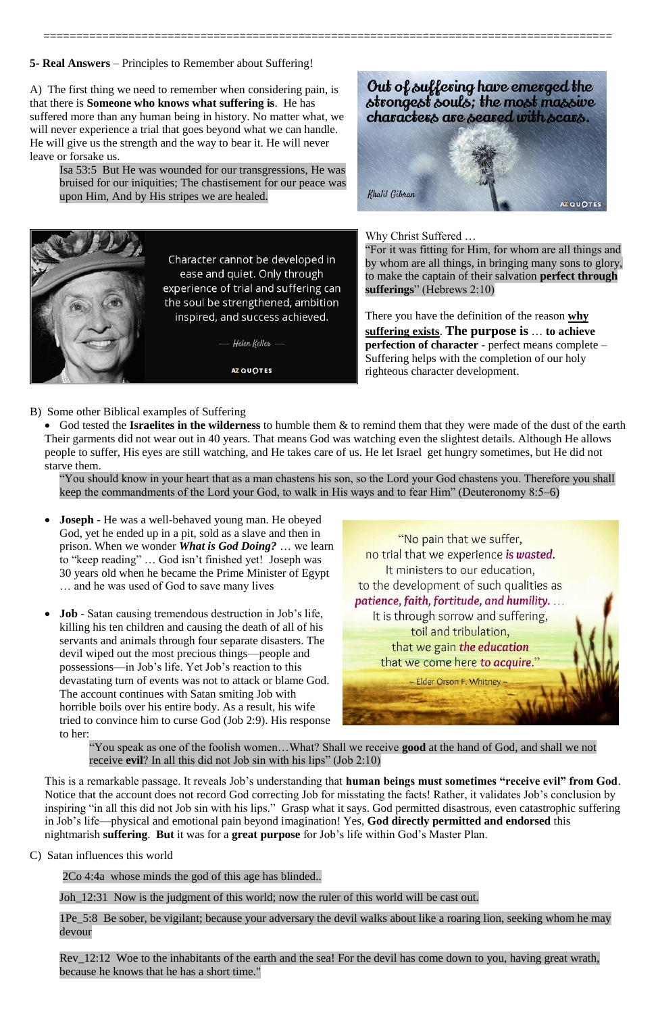=======================================================================================

**5- Real Answers** – Principles to Remember about Suffering!

A) The first thing we need to remember when considering pain, is that there is **Someone who knows what suffering is**. He has suffered more than any human being in history. No matter what, we will never experience a trial that goes beyond what we can handle. He will give us the strength and the way to bear it. He will never leave or forsake us.

Isa 53:5 But He was wounded for our transgressions, He was bruised for our iniquities; The chastisement for our peace was upon Him, And by His stripes we are healed.







Character cannot be developed in ease and quiet. Only through experience of trial and suffering can the soul be strengthened, ambition inspired, and success achieved.

Helen Keller

AZ QUOTES

Why Christ Suffered …

"For it was fitting for Him, for whom are all things and by whom are all things, in bringing many sons to glory, to make the captain of their salvation **perfect through sufferings**" (Hebrews 2:10)

There you have the definition of the reason **why suffering exists**. **The purpose is** … **to achieve perfection of character** - perfect means complete – Suffering helps with the completion of our holy righteous character development.

- B) Some other Biblical examples of Suffering
	- God tested the **Israelites in the wilderness** to humble them & to remind them that they were made of the dust of the earth Their garments did not wear out in 40 years. That means God was watching even the slightest details. Although He allows people to suffer, His eyes are still watching, and He takes care of us. He let Israel get hungry sometimes, but He did not starve them.

"You should know in your heart that as a man chastens his son, so the Lord your God chastens you. Therefore you shall keep the commandments of the Lord your God, to walk in His ways and to fear Him" (Deuteronomy 8:5–6)

Rev 12:12 Woe to the inhabitants of the earth and the sea! For the devil has come down to you, having great wrath, because he knows that he has a short time."

- **Joseph -** He was a well-behaved young man. He obeyed God, yet he ended up in a pit, sold as a slave and then in prison. When we wonder *What is God Doing?* … we learn to "keep reading" … God isn't finished yet! Joseph was 30 years old when he became the Prime Minister of Egypt … and he was used of God to save many lives
- **Job** Satan causing tremendous destruction in Job's life, killing his ten children and causing the death of all of his servants and animals through four separate disasters. The devil wiped out the most precious things—people and possessions—in Job's life. Yet Job's reaction to this devastating turn of events was not to attack or blame God. The account continues with Satan smiting Job with horrible boils over his entire body. As a result, his wife tried to convince him to curse God (Job 2:9). His response to her:



"You speak as one of the foolish women…What? Shall we receive **good** at the hand of God, and shall we not receive **evil**? In all this did not Job sin with his lips" (Job 2:10)

This is a remarkable passage. It reveals Job's understanding that **human beings must sometimes "receive evil" from God**. Notice that the account does not record God correcting Job for misstating the facts! Rather, it validates Job's conclusion by inspiring "in all this did not Job sin with his lips." Grasp what it says. God permitted disastrous, even catastrophic suffering in Job's life—physical and emotional pain beyond imagination! Yes, **God directly permitted and endorsed** this nightmarish **suffering**. **But** it was for a **great purpose** for Job's life within God's Master Plan.

C) Satan influences this world

2Co 4:4a whose minds the god of this age has blinded..

Joh 12:31 Now is the judgment of this world; now the ruler of this world will be cast out.

1Pe\_5:8 Be sober, be vigilant; because your adversary the devil walks about like a roaring lion, seeking whom he may devour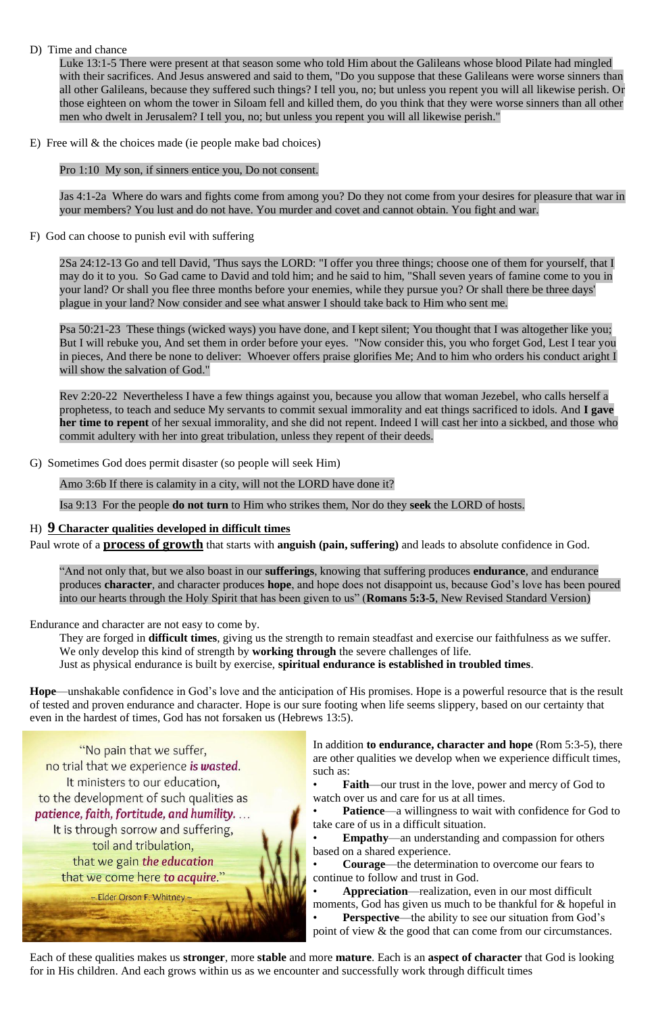#### D) Time and chance

Luke 13:1-5 There were present at that season some who told Him about the Galileans whose blood Pilate had mingled with their sacrifices. And Jesus answered and said to them, "Do you suppose that these Galileans were worse sinners than all other Galileans, because they suffered such things? I tell you, no; but unless you repent you will all likewise perish. Or those eighteen on whom the tower in Siloam fell and killed them, do you think that they were worse sinners than all other men who dwelt in Jerusalem? I tell you, no; but unless you repent you will all likewise perish."

E) Free will & the choices made (ie people make bad choices)

Pro 1:10 My son, if sinners entice you, Do not consent.

Jas 4:1-2a Where do wars and fights come from among you? Do they not come from your desires for pleasure that war in your members? You lust and do not have. You murder and covet and cannot obtain. You fight and war.

F) God can choose to punish evil with suffering

2Sa 24:12-13 Go and tell David, 'Thus says the LORD: "I offer you three things; choose one of them for yourself, that I may do it to you. So Gad came to David and told him; and he said to him, "Shall seven years of famine come to you in your land? Or shall you flee three months before your enemies, while they pursue you? Or shall there be three days' plague in your land? Now consider and see what answer I should take back to Him who sent me.

Psa 50:21-23 These things (wicked ways) you have done, and I kept silent; You thought that I was altogether like you; But I will rebuke you, And set them in order before your eyes. "Now consider this, you who forget God, Lest I tear you in pieces, And there be none to deliver: Whoever offers praise glorifies Me; And to him who orders his conduct aright I will show the salvation of God."

Rev 2:20-22 Nevertheless I have a few things against you, because you allow that woman Jezebel, who calls herself a prophetess, to teach and seduce My servants to commit sexual immorality and eat things sacrificed to idols. And **I gave her time to repent** of her sexual immorality, and she did not repent. Indeed I will cast her into a sickbed, and those who commit adultery with her into great tribulation, unless they repent of their deeds.

- **Faith—our trust in the love, power and mercy of God to** watch over us and care for us at all times.
- **Patience—a** willingness to wait with confidence for God to take care of us in a difficult situation.
- **Empathy**—an understanding and compassion for others based on a shared experience.
- **Courage**—the determination to overcome our fears to continue to follow and trust in God.
- **Appreciation**—realization, even in our most difficult moments, God has given us much to be thankful for  $&$  hopeful in **Perspective—the ability to see our situation from God's** point of view & the good that can come from our circumstances.

G) Sometimes God does permit disaster (so people will seek Him)

Amo 3:6b If there is calamity in a city, will not the LORD have done it?

Isa 9:13 For the people **do not turn** to Him who strikes them, Nor do they **seek** the LORD of hosts.

#### H) **9 Character qualities developed in difficult times**

Paul wrote of a **process of growth** that starts with **anguish (pain, suffering)** and leads to absolute confidence in God.

"And not only that, but we also boast in our **sufferings**, knowing that suffering produces **endurance**, and endurance produces **character**, and character produces **hope**, and hope does not disappoint us, because God's love has been poured into our hearts through the Holy Spirit that has been given to us" (**Romans 5:3-5**, New Revised Standard Version)

Endurance and character are not easy to come by.

They are forged in **difficult times**, giving us the strength to remain steadfast and exercise our faithfulness as we suffer. We only develop this kind of strength by **working through** the severe challenges of life.

Just as physical endurance is built by exercise, **spiritual endurance is established in troubled times**.

**Hope**—unshakable confidence in God's love and the anticipation of His promises. Hope is a powerful resource that is the result of tested and proven endurance and character. Hope is our sure footing when life seems slippery, based on our certainty that even in the hardest of times, God has not forsaken us (Hebrews 13:5).

"No pain that we suffer, no trial that we experience is wasted. It ministers to our education, to the development of such qualities as patience, faith, fortitude, and humility. ... It is through sorrow and suffering, toil and tribulation, that we gain the education that we come here to acquire." - Elder Orson F. Whitney -

In addition **to endurance, character and hope** (Rom 5:3-5), there are other qualities we develop when we experience difficult times, such as:

Each of these qualities makes us **stronger**, more **stable** and more **mature**. Each is an **aspect of character** that God is looking for in His children. And each grows within us as we encounter and successfully work through difficult times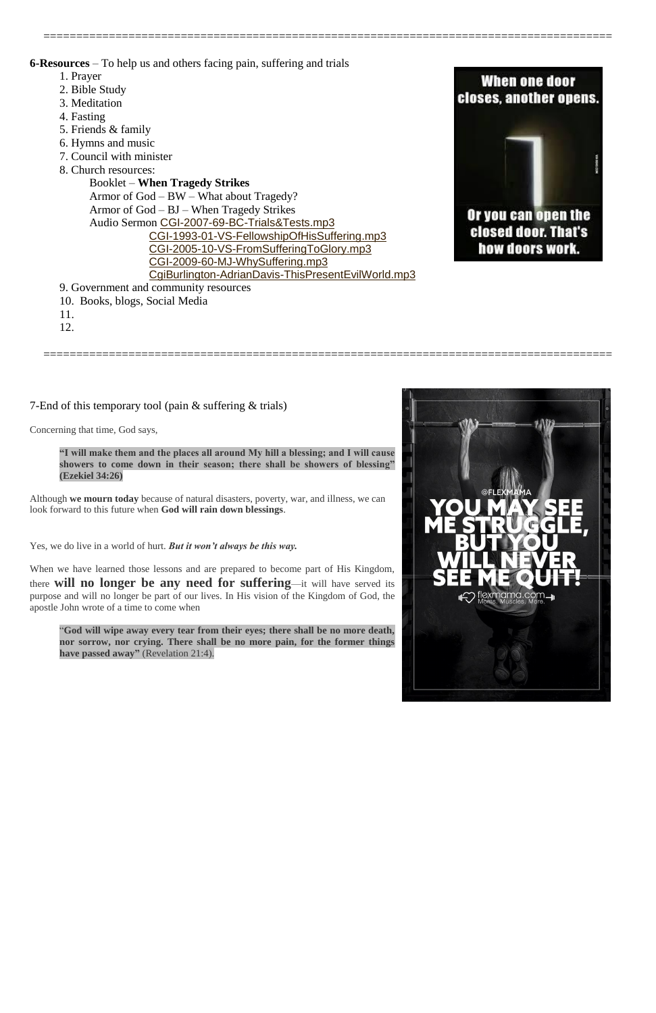=======================================================================================

**6-Resources** – To help us and others facing pain, suffering and trials

- 1. Prayer
- 2. Bible Study
- 3. Meditation
- 4. Fasting
- 5. Friends & family
- 6. Hymns and music
- 7. Council with minister
- 8. Church resources:

Booklet – **When Tragedy Strikes** Armor of God – BW – What about Tragedy? Armor of God – BJ – When Tragedy Strikes Audio Sermon [CGI-2007-69-BC-Trials&Tests.mp3](http://www.cgicanada.org/media/sermons/2007/CGI-2007-69-BC-Trials&Tests.mp3) [CGI-1993-01-VS-FellowshipOfHisSuffering.mp3](http://www.cgicanada.org/media/sermons/1970-2002/Vance-1970-2002/CGI-1993-01-VS-FellowshipOfHisSuffering.mp3) [CGI-2005-10-VS-FromSufferingToGlory.mp3](http://www.cgicanada.org/media/sermons/2005/CGI-2005-10-VS-FromSufferingToGlory.mp3) [CGI-2009-60-MJ-WhySuffering.mp3](http://www.cgicanada.org/media/sermons/2009/CGI-2009-60-MJ-WhySuffering.mp3) [CgiBurlington-AdrianDavis-ThisPresentEvilWorld.mp3](http://www.cgicanada.org/media/burlington/2013/CgiBurlington-AdrianDavis-ThisPresentEvilWorld.mp3)

9. Government and community resources

- 10. Books, blogs, Social Media
- 11.
- 12.

=======================================================================================



7-End of this temporary tool (pain & suffering & trials)

Concerning that time, God says,

**"I will make them and the places all around My hill a blessing; and I will cause showers to come down in their season; there shall be showers of blessing" (Ezekiel 34:26)**

Although **we mourn today** because of natural disasters, poverty, war, and illness, we can look forward to this future when **God will rain down blessings**.

Yes, we do live in a world of hurt. *But it won't always be this way.*

When we have learned those lessons and are prepared to become part of His Kingdom, there **will no longer be any need for suffering**—it will have served its purpose and will no longer be part of our lives. In His vision of the Kingdom of God, the apostle John wrote of a time to come when

"**God will wipe away every tear from their eyes; there shall be no more death, nor sorrow, nor crying. There shall be no more pain, for the former things have passed away"** (Revelation 21:4).